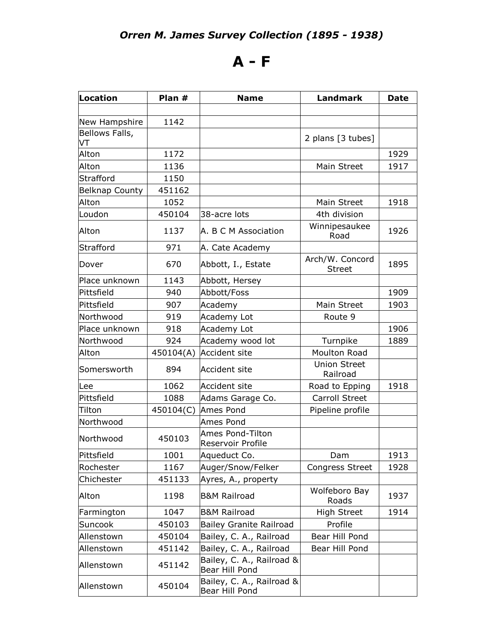## **A - F**

| Location              | Plan #    | <b>Name</b>                                 | <b>Landmark</b>                  | <b>Date</b> |
|-----------------------|-----------|---------------------------------------------|----------------------------------|-------------|
|                       |           |                                             |                                  |             |
| New Hampshire         | 1142      |                                             |                                  |             |
| Bellows Falls,<br>VT  |           |                                             | 2 plans [3 tubes]                |             |
| Alton                 | 1172      |                                             |                                  | 1929        |
| Alton                 | 1136      |                                             | Main Street                      | 1917        |
| Strafford             | 1150      |                                             |                                  |             |
| <b>Belknap County</b> | 451162    |                                             |                                  |             |
| Alton                 | 1052      |                                             | Main Street                      | 1918        |
| Loudon                | 450104    | 38-acre lots                                | 4th division                     |             |
| Alton                 | 1137      | A. B C M Association                        | Winnipesaukee<br>Road            | 1926        |
| Strafford             | 971       | A. Cate Academy                             |                                  |             |
| Dover                 | 670       | Abbott, I., Estate                          | Arch/W. Concord<br><b>Street</b> | 1895        |
| Place unknown         | 1143      | Abbott, Hersey                              |                                  |             |
| Pittsfield            | 940       | Abbott/Foss                                 |                                  | 1909        |
| Pittsfield            | 907       | Academy                                     | Main Street                      | 1903        |
| Northwood             | 919       | Academy Lot                                 | Route 9                          |             |
| Place unknown         | 918       | Academy Lot                                 |                                  | 1906        |
| Northwood             | 924       | Academy wood lot                            | Turnpike                         | 1889        |
| Alton                 | 450104(A) | Accident site                               | <b>Moulton Road</b>              |             |
| Somersworth           | 894       | <b>Accident site</b>                        | <b>Union Street</b><br>Railroad  |             |
| Lee                   | 1062      | <b>Accident site</b>                        | Road to Epping                   | 1918        |
| Pittsfield            | 1088      | Adams Garage Co.                            | Carroll Street                   |             |
| Tilton                | 450104(C) | Ames Pond                                   | Pipeline profile                 |             |
| Northwood             |           | Ames Pond                                   |                                  |             |
| Northwood             | 450103    | Ames Pond-Tilton<br>Reservoir Profile       |                                  |             |
| Pittsfield            | 1001      | Aqueduct Co.                                | Dam                              | 1913        |
| Rochester             | 1167      | Auger/Snow/Felker                           | <b>Congress Street</b>           | 1928        |
| Chichester            | 451133    | Ayres, A., property                         |                                  |             |
| Alton                 | 1198      | <b>B&amp;M Railroad</b>                     | Wolfeboro Bay<br>Roads           | 1937        |
| Farmington            | 1047      | <b>B&amp;M Railroad</b>                     | High Street                      | 1914        |
| Suncook               | 450103    | Bailey Granite Railroad                     | Profile                          |             |
| Allenstown            | 450104    | Bailey, C. A., Railroad                     | Bear Hill Pond                   |             |
| Allenstown            | 451142    | Bailey, C. A., Railroad                     | Bear Hill Pond                   |             |
| Allenstown            | 451142    | Bailey, C. A., Railroad &<br>Bear Hill Pond |                                  |             |
| Allenstown            | 450104    | Bailey, C. A., Railroad &<br>Bear Hill Pond |                                  |             |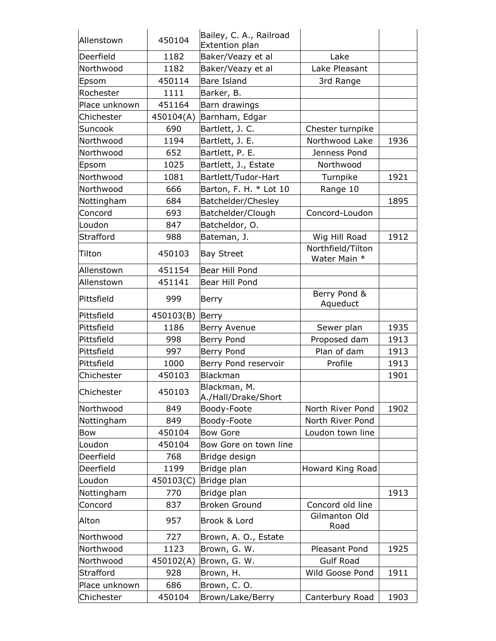| Allenstown    | 450104    | Bailey, C. A., Railroad<br>Extention plan |                                   |      |
|---------------|-----------|-------------------------------------------|-----------------------------------|------|
| Deerfield     | 1182      | Baker/Veazy et al                         | Lake                              |      |
| Northwood     | 1182      | Baker/Veazy et al                         | Lake Pleasant                     |      |
| Epsom         | 450114    | Bare Island                               | 3rd Range                         |      |
| Rochester     | 1111      | Barker, B.                                |                                   |      |
| Place unknown | 451164    | Barn drawings                             |                                   |      |
| Chichester    | 450104(A) | Barnham, Edgar                            |                                   |      |
| Suncook       | 690       | Bartlett, J. C.                           | Chester turnpike                  |      |
| Northwood     | 1194      | Bartlett, J. E.                           | Northwood Lake                    | 1936 |
| Northwood     | 652       | Bartlett, P. E.                           | Jenness Pond                      |      |
| Epsom         | 1025      | Bartlett, J., Estate                      | Northwood                         |      |
| Northwood     | 1081      | Bartlett/Tudor-Hart                       | Turnpike                          | 1921 |
| Northwood     | 666       | Barton, F. H. * Lot 10                    | Range 10                          |      |
| Nottingham    | 684       | Batchelder/Chesley                        |                                   | 1895 |
| Concord       | 693       | Batchelder/Clough                         | Concord-Loudon                    |      |
| Loudon        | 847       | Batcheldor, O.                            |                                   |      |
| Strafford     | 988       | Bateman, J.                               | Wig Hill Road                     | 1912 |
| Tilton        | 450103    | <b>Bay Street</b>                         | Northfield/Tilton<br>Water Main * |      |
| Allenstown    | 451154    | Bear Hill Pond                            |                                   |      |
| Allenstown    | 451141    | Bear Hill Pond                            |                                   |      |
| Pittsfield    | 999       | Berry                                     | Berry Pond &<br>Aqueduct          |      |
| Pittsfield    | 450103(B) | Berry                                     |                                   |      |
| Pittsfield    | 1186      | Berry Avenue                              | Sewer plan                        | 1935 |
| Pittsfield    | 998       | Berry Pond                                | Proposed dam                      | 1913 |
| Pittsfield    | 997       | Berry Pond                                | Plan of dam                       | 1913 |
| Pittsfield    | 1000      | Berry Pond reservoir                      | Profile                           | 1913 |
| Chichester    | 450103    | Blackman                                  |                                   | 1901 |
| Chichester    | 450103    | Blackman, M.<br>A./Hall/Drake/Short       |                                   |      |
| Northwood     | 849       | Boody-Foote                               | North River Pond                  | 1902 |
| Nottingham    | 849       | Boody-Foote                               | North River Pond                  |      |
| <b>Bow</b>    | 450104    | <b>Bow Gore</b>                           | Loudon town line                  |      |
| Loudon        | 450104    | Bow Gore on town line                     |                                   |      |
| Deerfield     | 768       | Bridge design                             |                                   |      |
| Deerfield     | 1199      | Bridge plan                               | Howard King Road                  |      |
| Loudon        | 450103(C) | Bridge plan                               |                                   |      |
| Nottingham    | 770       | Bridge plan                               |                                   | 1913 |
| Concord       | 837       | <b>Broken Ground</b>                      | Concord old line                  |      |
| Alton         | 957       | Brook & Lord                              | Gilmanton Old<br>Road             |      |
| Northwood     | 727       | Brown, A. O., Estate                      |                                   |      |
| Northwood     | 1123      | Brown, G. W.                              | Pleasant Pond                     | 1925 |
| Northwood     | 450102(A) | Brown, G. W.                              | <b>Gulf Road</b>                  |      |
| Strafford     | 928       | Brown, H.                                 | Wild Goose Pond                   | 1911 |
| Place unknown | 686       | Brown, C. O.                              |                                   |      |
| Chichester    | 450104    | Brown/Lake/Berry                          | Canterbury Road                   | 1903 |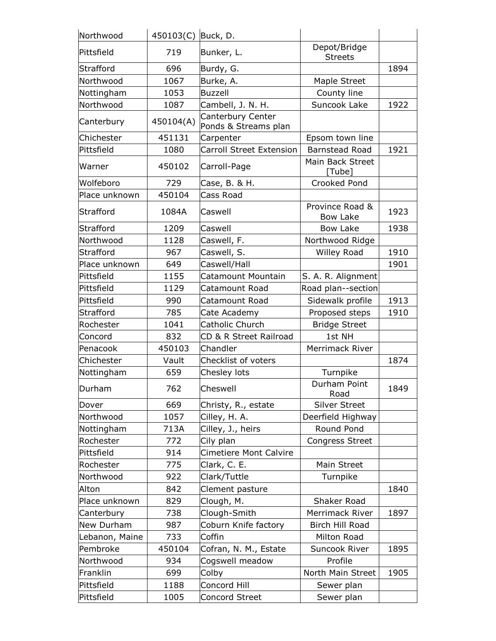| Northwood      | 450103(C) | Buck, D.                                  |                                    |      |
|----------------|-----------|-------------------------------------------|------------------------------------|------|
| Pittsfield     | 719       | Bunker, L.                                | Depot/Bridge<br><b>Streets</b>     |      |
| Strafford      | 696       | Burdy, G.                                 |                                    | 1894 |
| Northwood      | 1067      | Burke, A.                                 | Maple Street                       |      |
| Nottingham     | 1053      | <b>Buzzell</b>                            | County line                        |      |
| Northwood      | 1087      | Cambell, J. N. H.                         | Suncook Lake                       | 1922 |
| Canterbury     | 450104(A) | Canterbury Center<br>Ponds & Streams plan |                                    |      |
| Chichester     | 451131    | Carpenter                                 | Epsom town line                    |      |
| Pittsfield     | 1080      | <b>Carroll Street Extension</b>           | <b>Barnstead Road</b>              | 1921 |
| Warner         | 450102    | Carroll-Page                              | Main Back Street<br>[Tube]         |      |
| Wolfeboro      | 729       | Case, B. & H.                             | Crooked Pond                       |      |
| Place unknown  | 450104    | Cass Road                                 |                                    |      |
| Strafford      | 1084A     | Caswell                                   | Province Road &<br><b>Bow Lake</b> | 1923 |
| Strafford      | 1209      | Caswell                                   | Bow Lake                           | 1938 |
| Northwood      | 1128      | Caswell, F.                               | Northwood Ridge                    |      |
| Strafford      | 967       | Caswell, S.                               | <b>Willey Road</b>                 | 1910 |
| Place unknown  | 649       | Caswell/Hall                              |                                    | 1901 |
| Pittsfield     | 1155      | Catamount Mountain                        | S. A. R. Alignment                 |      |
| Pittsfield     | 1129      | Catamount Road                            | Road plan--section                 |      |
| Pittsfield     | 990       | Catamount Road                            | Sidewalk profile                   | 1913 |
| Strafford      | 785       | Cate Academy                              | Proposed steps                     | 1910 |
| Rochester      | 1041      | Catholic Church                           | <b>Bridge Street</b>               |      |
| Concord        | 832       | CD & R Street Railroad                    | 1st NH                             |      |
| Penacook       | 450103    | Chandler                                  | Merrimack River                    |      |
| Chichester     | Vault     | Checklist of voters                       |                                    | 1874 |
| Nottingham     | 659       | Chesley lots                              | Turnpike                           |      |
| Durham         | 762       | Cheswell                                  | Durham Point<br>Road               | 1849 |
| Dover          | 669       | Christy, R., estate                       | <b>Silver Street</b>               |      |
| Northwood      | 1057      | Cilley, H. A.                             | Deerfield Highway                  |      |
| Nottingham     | 713A      | Cilley, J., heirs                         | Round Pond                         |      |
| Rochester      | 772       | Cily plan                                 | <b>Congress Street</b>             |      |
| Pittsfield     | 914       | Cimetiere Mont Calvire                    |                                    |      |
| Rochester      | 775       | Clark, C. E.                              | Main Street                        |      |
| Northwood      | 922       | Clark/Tuttle                              | Turnpike                           |      |
| Alton          | 842       | Clement pasture                           |                                    | 1840 |
| Place unknown  | 829       | Clough, M.                                | Shaker Road                        |      |
| Canterbury     | 738       | Clough-Smith                              | Merrimack River                    | 1897 |
| New Durham     | 987       | Coburn Knife factory                      | Birch Hill Road                    |      |
| Lebanon, Maine | 733       | Coffin                                    | Milton Road                        |      |
| Pembroke       | 450104    | Cofran, N. M., Estate                     | Suncook River                      | 1895 |
| Northwood      | 934       | Cogswell meadow                           | Profile                            |      |
| Franklin       | 699       | Colby                                     | North Main Street                  | 1905 |
| Pittsfield     | 1188      | Concord Hill                              | Sewer plan                         |      |
| Pittsfield     | 1005      | <b>Concord Street</b>                     | Sewer plan                         |      |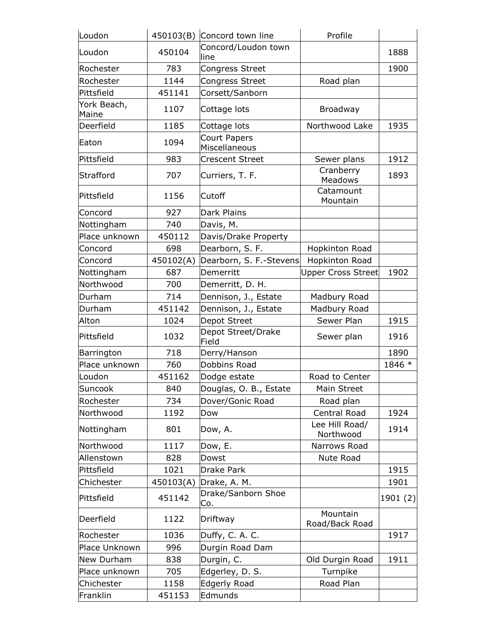| Loudon               | 450103(B) | Concord town line                    | Profile                     |         |
|----------------------|-----------|--------------------------------------|-----------------------------|---------|
| Loudon               | 450104    | Concord/Loudon town<br>line          |                             | 1888    |
| Rochester            | 783       | <b>Congress Street</b>               |                             | 1900    |
| Rochester            | 1144      | <b>Congress Street</b>               | Road plan                   |         |
| Pittsfield           | 451141    | Corsett/Sanborn                      |                             |         |
| York Beach,<br>Maine | 1107      | Cottage lots                         | Broadway                    |         |
| Deerfield            | 1185      | Cottage lots                         | Northwood Lake              | 1935    |
| Eaton                | 1094      | <b>Court Papers</b><br>Miscellaneous |                             |         |
| Pittsfield           | 983       | <b>Crescent Street</b>               | Sewer plans                 | 1912    |
| Strafford            | 707       | Curriers, T. F.                      | Cranberry<br>Meadows        | 1893    |
| Pittsfield           | 1156      | lCutoff                              | Catamount<br>Mountain       |         |
| Concord              | 927       | Dark Plains                          |                             |         |
| Nottingham           | 740       | Davis, M.                            |                             |         |
| Place unknown        | 450112    | Davis/Drake Property                 |                             |         |
| Concord              | 698       | Dearborn, S. F.                      | Hopkinton Road              |         |
| Concord              | 450102(A) | Dearborn, S. F.-Stevens              | Hopkinton Road              |         |
| Nottingham           | 687       | Demerritt                            | <b>Upper Cross Street</b>   | 1902    |
| Northwood            | 700       | Demerritt, D. H.                     |                             |         |
| Durham               | 714       | Dennison, J., Estate                 | Madbury Road                |         |
| Durham               | 451142    | Dennison, J., Estate                 | Madbury Road                |         |
| Alton                | 1024      | Depot Street                         | Sewer Plan                  | 1915    |
| Pittsfield           | 1032      | Depot Street/Drake<br>Field          | Sewer plan                  | 1916    |
| Barrington           | 718       | Derry/Hanson                         |                             | 1890    |
| Place unknown        | 760       | Dobbins Road                         |                             | 1846 *  |
| Loudon               | 451162    | Dodge estate                         | Road to Center              |         |
| Suncook              | 840       | Douglas, O. B., Estate               | Main Street                 |         |
| Rochester            | 734       | Dover/Gonic Road                     | Road plan                   |         |
| Northwood            | 1192      | Dow                                  | Central Road                | 1924    |
| Nottingham           | 801       | Dow, A.                              | Lee Hill Road/<br>Northwood | 1914    |
| Northwood            | 1117      | Dow, E.                              | Narrows Road                |         |
| Allenstown           | 828       | Dowst                                | Nute Road                   |         |
| Pittsfield           | 1021      | Drake Park                           |                             | 1915    |
| Chichester           | 450103(A) | Drake, A. M.                         |                             | 1901    |
| Pittsfield           | 451142    | Drake/Sanborn Shoe<br>Co.            |                             | 1901(2) |
| Deerfield            | 1122      | Driftway                             | Mountain<br>Road/Back Road  |         |
| Rochester            | 1036      | Duffy, C. A. C.                      |                             | 1917    |
| Place Unknown        | 996       | Durgin Road Dam                      |                             |         |
| New Durham           | 838       | Durgin, C.                           | Old Durgin Road             | 1911    |
| Place unknown        | 705       | Edgerley, D. S.                      | Turnpike                    |         |
| Chichester           | 1158      | Edgerly Road                         | Road Plan                   |         |
| Franklin             | 451153    | Edmunds                              |                             |         |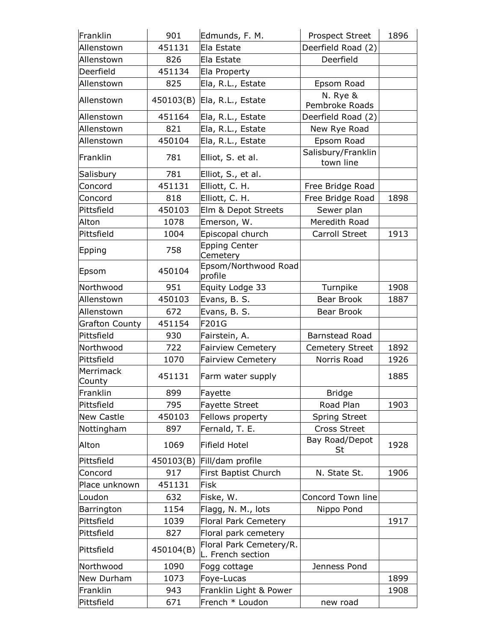| Franklin              | 901       | Edmunds, F. M.                               | Prospect Street                 | 1896 |
|-----------------------|-----------|----------------------------------------------|---------------------------------|------|
| Allenstown            | 451131    | Ela Estate                                   | Deerfield Road (2)              |      |
| Allenstown            | 826       | Ela Estate                                   | Deerfield                       |      |
| Deerfield             | 451134    | Ela Property                                 |                                 |      |
| Allenstown            | 825       | Ela, R.L., Estate                            | Epsom Road                      |      |
| Allenstown            | 450103(B) | Ela, R.L., Estate                            | N. Rye &<br>Pembroke Roads      |      |
| Allenstown            | 451164    | Ela, R.L., Estate                            | Deerfield Road (2)              |      |
| Allenstown            | 821       | Ela, R.L., Estate                            | New Rye Road                    |      |
| Allenstown            | 450104    | Ela, R.L., Estate                            | Epsom Road                      |      |
| Franklin              | 781       | Elliot, S. et al.                            | Salisbury/Franklin<br>town line |      |
| Salisbury             | 781       | Elliot, S., et al.                           |                                 |      |
| Concord               | 451131    | Elliott, C. H.                               | Free Bridge Road                |      |
| Concord               | 818       | Elliott, C. H.                               | Free Bridge Road                | 1898 |
| Pittsfield            | 450103    | Elm & Depot Streets                          | Sewer plan                      |      |
| Alton                 | 1078      | Emerson, W.                                  | Meredith Road                   |      |
| Pittsfield            | 1004      | Episcopal church                             | Carroll Street                  | 1913 |
| Epping                | 758       | <b>Epping Center</b><br>Cemetery             |                                 |      |
| Epsom                 | 450104    | Epsom/Northwood Road<br>profile              |                                 |      |
| Northwood             | 951       | Equity Lodge 33                              | Turnpike                        | 1908 |
| Allenstown            | 450103    | Evans, B. S.                                 | Bear Brook                      | 1887 |
| Allenstown            | 672       | Evans, B. S.                                 | Bear Brook                      |      |
| <b>Grafton County</b> | 451154    | F201G                                        |                                 |      |
| Pittsfield            | 930       | Fairstein, A.                                | <b>Barnstead Road</b>           |      |
| Northwood             | 722       | <b>Fairview Cemetery</b>                     | <b>Cemetery Street</b>          | 1892 |
| Pittsfield            | 1070      | <b>Fairview Cemetery</b>                     | Norris Road                     | 1926 |
| Merrimack<br>County   | 451131    | Farm water supply                            |                                 | 1885 |
| Franklin              | 899       | Fayette                                      | <b>Bridge</b>                   |      |
| Pittsfield            | 795       | <b>Fayette Street</b>                        | Road Plan                       | 1903 |
| <b>New Castle</b>     | 450103    | Fellows property                             | <b>Spring Street</b>            |      |
| Nottingham            | 897       | Fernald, T. E.                               | <b>Cross Street</b>             |      |
| Alton                 | 1069      | Fifield Hotel                                | Bay Road/Depot<br>St            | 1928 |
| Pittsfield            | 450103(B) | Fill/dam profile                             |                                 |      |
| Concord               | 917       | First Baptist Church                         | N. State St.                    | 1906 |
| Place unknown         | 451131    | <b>Fisk</b>                                  |                                 |      |
| Loudon                | 632       | Fiske, W.                                    | Concord Town line               |      |
| Barrington            | 1154      | Flagg, N. M., lots                           | Nippo Pond                      |      |
| Pittsfield            | 1039      | <b>Floral Park Cemetery</b>                  |                                 | 1917 |
| Pittsfield            | 827       | Floral park cemetery                         |                                 |      |
| Pittsfield            | 450104(B) | Floral Park Cemetery/R.<br>L. French section |                                 |      |
| Northwood             | 1090      | Fogg cottage                                 | Jenness Pond                    |      |
| New Durham            | 1073      | Foye-Lucas                                   |                                 | 1899 |
| Franklin              | 943       | Franklin Light & Power                       |                                 | 1908 |
| Pittsfield            | 671       | French * Loudon                              | new road                        |      |